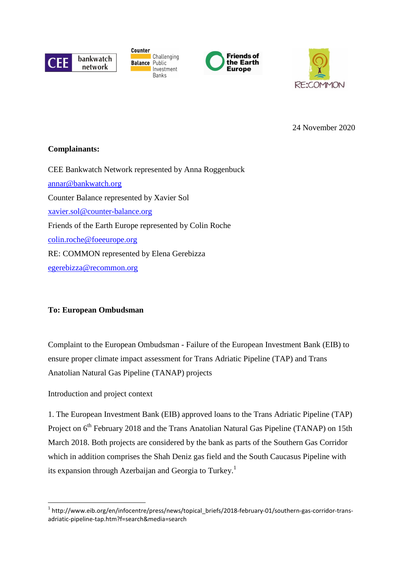

**Counter Challenging Balance** Public Investment Banks





24 November 2020

# **Complainants:**

CEE Bankwatch Network represented by Anna Roggenbuck annar@bankwatch.org Counter Balance represented by Xavier Sol xavier.sol@counter-balance.org Friends of the Earth Europe represented by Colin Roche colin.roche@foeeurope.org RE: COMMON represented by Elena Gerebizza egerebizza@recommon.org

# **To: European Ombudsman**

Complaint to the European Ombudsman - Failure of the European Investment Bank (EIB) to ensure proper climate impact assessment for Trans Adriatic Pipeline (TAP) and Trans Anatolian Natural Gas Pipeline (TANAP) projects

Introduction and project context

 $\overline{a}$ 

1. The European Investment Bank (EIB) approved loans to the Trans Adriatic Pipeline (TAP) Project on 6<sup>th</sup> February 2018 and the Trans Anatolian Natural Gas Pipeline (TANAP) on 15th March 2018. Both projects are considered by the bank as parts of the Southern Gas Corridor which in addition comprises the Shah Deniz gas field and the South Caucasus Pipeline with its expansion through Azerbaijan and Georgia to Turkey.<sup>1</sup>

<sup>1</sup> http://www.eib.org/en/infocentre/press/news/topical\_briefs/2018-february-01/southern-gas-corridor-transadriatic-pipeline-tap.htm?f=search&media=search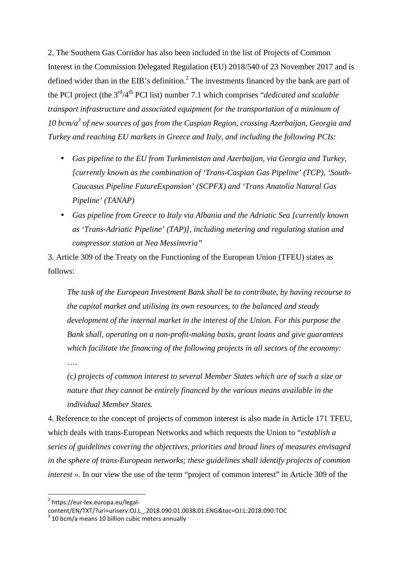2. The Southern Gas Corridor has also been included in the list of Projects of Common Interest in the Commission Delegated Regulation (EU) 2018/540 of 23 November 2017 and is defined wider than in the EIB's definition.<sup>2</sup> The investments financed by the bank are part of the PCI project (the 3rd/4th PCI list) number 7.1 which comprises "*dedicated and scalable transport infrastructure and associated equipment for the transportation of a minimum of 10 bcm/a<sup>3</sup> of new sources of gas from the Caspian Region, crossing Azerbaijan, Georgia and Turkey and reaching EU markets in Greece and Italy, and including the following PCIs:* 

- *Gas pipeline to the EU from Turkmenistan and Azerbaijan, via Georgia and Turkey, [currently known as the combination of 'Trans-Caspian Gas Pipeline' (TCP), 'South-Caucasus Pipeline FutureExpansion' (SCPFX) and 'Trans Anatolia Natural Gas Pipeline' (TANAP)*
- *Gas pipeline from Greece to Italy via Albania and the Adriatic Sea [currently known as 'Trans-Adriatic Pipeline' (TAP)], including metering and regulating station and compressor station at Nea Messimvria"*

3. Article 309 of the Treaty on the Functioning of the European Union (TFEU) states as follows:

*The task of the European Investment Bank shall be to contribute, by having recourse to the capital market and utilising its own resources, to the balanced and steady development of the internal market in the interest of the Union. For this purpose the Bank shall, operating on a non-profit-making basis, grant loans and give guarantees which facilitate the financing of the following projects in all sectors of the economy:* 

*(c) projects of common interest to several Member States which are of such a size or nature that they cannot be entirely financed by the various means available in the individual Member States.* 

4. Reference to the concept of projects of common interest is also made in Article 171 TFEU, which deals with trans-European Networks and which requests the Union to "*establish a series of guidelines covering the objectives, priorities and broad lines of measures envisaged in the sphere of trans-European networks; these guidelines shall identify projects of common interest* ». In our view the use of the term "project of common interest" in Article 309 of the

l

….

<sup>&</sup>lt;sup>2</sup> https://eur-lex.europa.eu/legal-

content/EN/TXT/?uri=uriserv:OJ.L\_.2018.090.01.0038.01.ENG&toc=OJ:L:2018:090:TOC

 $3$  10 bcm/a means 10 billion cubic meters annually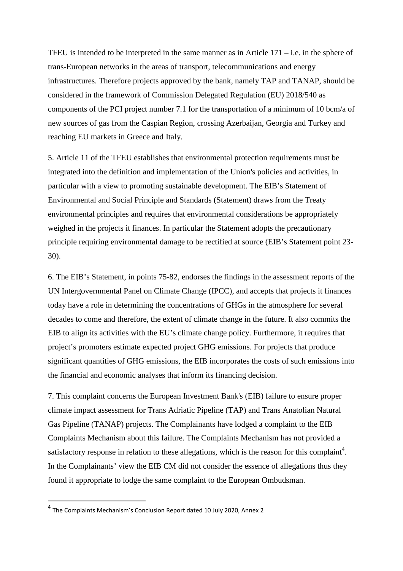TFEU is intended to be interpreted in the same manner as in Article  $171 - i.e.$  in the sphere of trans-European networks in the areas of transport, telecommunications and energy infrastructures. Therefore projects approved by the bank, namely TAP and TANAP, should be considered in the framework of Commission Delegated Regulation (EU) 2018/540 as components of the PCI project number 7.1 for the transportation of a minimum of 10 bcm/a of new sources of gas from the Caspian Region, crossing Azerbaijan, Georgia and Turkey and reaching EU markets in Greece and Italy.

5. Article 11 of the TFEU establishes that environmental protection requirements must be integrated into the definition and implementation of the Union's policies and activities, in particular with a view to promoting sustainable development. The EIB's Statement of Environmental and Social Principle and Standards (Statement) draws from the Treaty environmental principles and requires that environmental considerations be appropriately weighed in the projects it finances. In particular the Statement adopts the precautionary principle requiring environmental damage to be rectified at source (EIB's Statement point 23- 30).

6. The EIB's Statement, in points 75-82, endorses the findings in the assessment reports of the UN Intergovernmental Panel on Climate Change (IPCC), and accepts that projects it finances today have a role in determining the concentrations of GHGs in the atmosphere for several decades to come and therefore, the extent of climate change in the future. It also commits the EIB to align its activities with the EU's climate change policy. Furthermore, it requires that project's promoters estimate expected project GHG emissions. For projects that produce significant quantities of GHG emissions, the EIB incorporates the costs of such emissions into the financial and economic analyses that inform its financing decision.

7. This complaint concerns the European Investment Bank's (EIB) failure to ensure proper climate impact assessment for Trans Adriatic Pipeline (TAP) and Trans Anatolian Natural Gas Pipeline (TANAP) projects. The Complainants have lodged a complaint to the EIB Complaints Mechanism about this failure. The Complaints Mechanism has not provided a satisfactory response in relation to these allegations, which is the reason for this complaint<sup>4</sup>. In the Complainants' view the EIB CM did not consider the essence of allegations thus they found it appropriate to lodge the same complaint to the European Ombudsman.

<sup>4</sup> The Complaints Mechanism's Conclusion Report dated 10 July 2020, Annex 2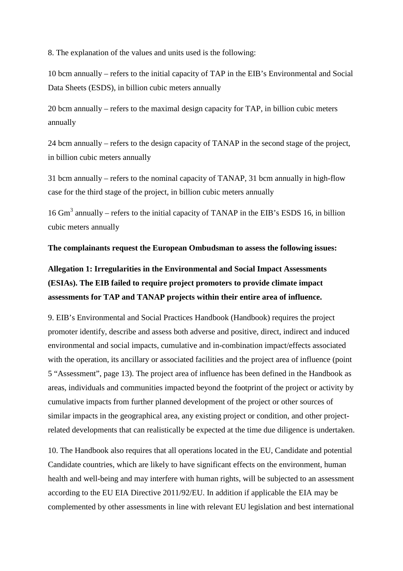8. The explanation of the values and units used is the following:

10 bcm annually – refers to the initial capacity of TAP in the EIB's Environmental and Social Data Sheets (ESDS), in billion cubic meters annually

20 bcm annually – refers to the maximal design capacity for TAP, in billion cubic meters annually

24 bcm annually – refers to the design capacity of TANAP in the second stage of the project, in billion cubic meters annually

31 bcm annually – refers to the nominal capacity of TANAP, 31 bcm annually in high-flow case for the third stage of the project, in billion cubic meters annually

16 Gm<sup>3</sup> annually *–* refers to the initial capacity of TANAP in the EIB's ESDS 16, in billion cubic meters annually

**The complainants request the European Ombudsman to assess the following issues:** 

**Allegation 1: Irregularities in the Environmental and Social Impact Assessments (ESIAs). The EIB failed to require project promoters to provide climate impact assessments for TAP and TANAP projects within their entire area of influence.** 

9. EIB's Environmental and Social Practices Handbook (Handbook) requires the project promoter identify, describe and assess both adverse and positive, direct, indirect and induced environmental and social impacts, cumulative and in-combination impact/effects associated with the operation, its ancillary or associated facilities and the project area of influence (point 5 "Assessment", page 13). The project area of influence has been defined in the Handbook as areas, individuals and communities impacted beyond the footprint of the project or activity by cumulative impacts from further planned development of the project or other sources of similar impacts in the geographical area, any existing project or condition, and other projectrelated developments that can realistically be expected at the time due diligence is undertaken.

10. The Handbook also requires that all operations located in the EU, Candidate and potential Candidate countries, which are likely to have significant effects on the environment, human health and well-being and may interfere with human rights, will be subjected to an assessment according to the EU EIA Directive 2011/92/EU. In addition if applicable the EIA may be complemented by other assessments in line with relevant EU legislation and best international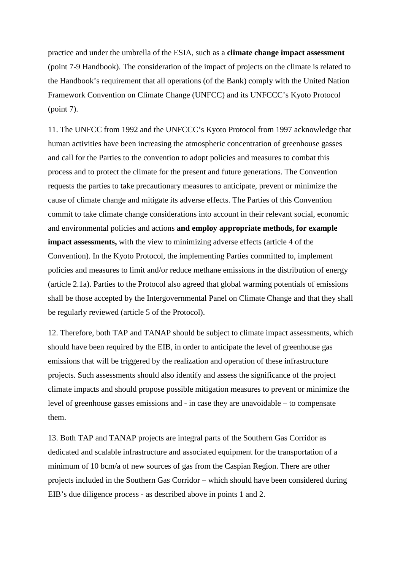practice and under the umbrella of the ESIA, such as a **climate change impact assessment** (point 7-9 Handbook). The consideration of the impact of projects on the climate is related to the Handbook's requirement that all operations (of the Bank) comply with the United Nation Framework Convention on Climate Change (UNFCC) and its UNFCCC's Kyoto Protocol (point 7).

11. The UNFCC from 1992 and the UNFCCC's Kyoto Protocol from 1997 acknowledge that human activities have been increasing the atmospheric concentration of greenhouse gasses and call for the Parties to the convention to adopt policies and measures to combat this process and to protect the climate for the present and future generations. The Convention requests the parties to take precautionary measures to anticipate, prevent or minimize the cause of climate change and mitigate its adverse effects. The Parties of this Convention commit to take climate change considerations into account in their relevant social, economic and environmental policies and actions **and employ appropriate methods, for example impact assessments,** with the view to minimizing adverse effects (article 4 of the Convention). In the Kyoto Protocol, the implementing Parties committed to, implement policies and measures to limit and/or reduce methane emissions in the distribution of energy (article 2.1a). Parties to the Protocol also agreed that global warming potentials of emissions shall be those accepted by the Intergovernmental Panel on Climate Change and that they shall be regularly reviewed (article 5 of the Protocol).

12. Therefore, both TAP and TANAP should be subject to climate impact assessments, which should have been required by the EIB, in order to anticipate the level of greenhouse gas emissions that will be triggered by the realization and operation of these infrastructure projects. Such assessments should also identify and assess the significance of the project climate impacts and should propose possible mitigation measures to prevent or minimize the level of greenhouse gasses emissions and - in case they are unavoidable – to compensate them.

13. Both TAP and TANAP projects are integral parts of the Southern Gas Corridor as dedicated and scalable infrastructure and associated equipment for the transportation of a minimum of 10 bcm/a of new sources of gas from the Caspian Region. There are other projects included in the Southern Gas Corridor – which should have been considered during EIB's due diligence process - as described above in points 1 and 2.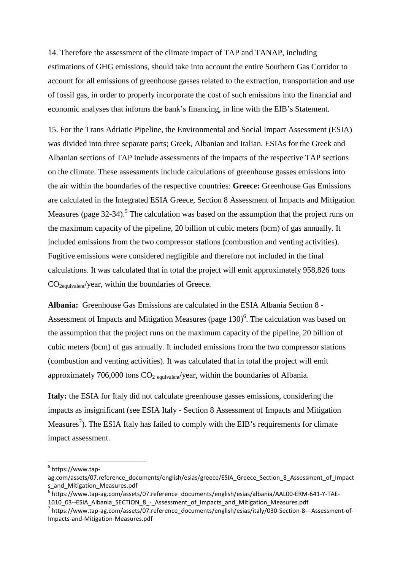14. Therefore the assessment of the climate impact of TAP and TANAP, including estimations of GHG emissions, should take into account the entire Southern Gas Corridor to account for all emissions of greenhouse gasses related to the extraction, transportation and use of fossil gas, in order to properly incorporate the cost of such emissions into the financial and economic analyses that informs the bank's financing, in line with the EIB's Statement.

15. For the Trans Adriatic Pipeline, the Environmental and Social Impact Assessment (ESIA) was divided into three separate parts; Greek, Albanian and Italian. ESIAs for the Greek and Albanian sections of TAP include assessments of the impacts of the respective TAP sections on the climate. These assessments include calculations of greenhouse gasses emissions into the air within the boundaries of the respective countries: **Greece:** Greenhouse Gas Emissions are calculated in the Integrated ESIA Greece, Section 8 Assessment of Impacts and Mitigation Measures (page  $32-34$ ).<sup>5</sup> The calculation was based on the assumption that the project runs on the maximum capacity of the pipeline, 20 billion of cubic meters (bcm) of gas annually. It included emissions from the two compressor stations (combustion and venting activities). Fugitive emissions were considered negligible and therefore not included in the final calculations. It was calculated that in total the project will emit approximately 958,826 tons CO2equivalent/year, within the boundaries of Greece.

**Albania:** Greenhouse Gas Emissions are calculated in the ESIA Albania Section 8 - Assessment of Impacts and Mitigation Measures (page  $130$ )<sup>6</sup>. The calculation was based on the assumption that the project runs on the maximum capacity of the pipeline, 20 billion of cubic meters (bcm) of gas annually. It included emissions from the two compressor stations (combustion and venting activities). It was calculated that in total the project will emit approximately 706,000 tons  $CO<sub>2</sub>$  equivalent/year, within the boundaries of Albania.

**Italy:** the ESIA for Italy did not calculate greenhouse gasses emissions, considering the impacts as insignificant (see ESIA Italy - Section 8 Assessment of Impacts and Mitigation Measures<sup>7</sup>). The ESIA Italy has failed to comply with the EIB's requirements for climate impact assessment.

 $\overline{\phantom{a}}$ 

<sup>&</sup>lt;sup>5</sup> https://www.tap-

ag.com/assets/07.reference\_documents/english/esias/greece/ESIA\_Greece\_Section\_8\_Assessment\_of\_Impact s\_and\_Mitigation\_Measures.pdf

<sup>6</sup> https://www.tap-ag.com/assets/07.reference\_documents/english/esias/albania/AAL00-ERM-641-Y-TAE-1010\_03--ESIA\_Albania\_SECTION\_8\_-\_Assessment\_of\_Impacts\_and\_Mitigation\_Measures.pdf

<sup>&</sup>lt;sup>7</sup>https://www.tap-ag.com/assets/07.reference\_documents/english/esias/italy/030-Section-8---Assessment-of-Impacts-and-Mitigation-Measures.pdf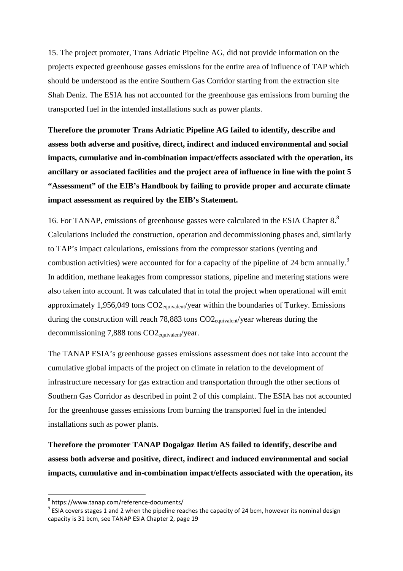15. The project promoter, Trans Adriatic Pipeline AG, did not provide information on the projects expected greenhouse gasses emissions for the entire area of influence of TAP which should be understood as the entire Southern Gas Corridor starting from the extraction site Shah Deniz. The ESIA has not accounted for the greenhouse gas emissions from burning the transported fuel in the intended installations such as power plants.

**Therefore the promoter Trans Adriatic Pipeline AG failed to identify, describe and assess both adverse and positive, direct, indirect and induced environmental and social impacts, cumulative and in-combination impact/effects associated with the operation, its ancillary or associated facilities and the project area of influence in line with the point 5 "Assessment" of the EIB's Handbook by failing to provide proper and accurate climate impact assessment as required by the EIB's Statement.** 

16. For TANAP, emissions of greenhouse gasses were calculated in the ESIA Chapter 8.<sup>8</sup> Calculations included the construction, operation and decommissioning phases and, similarly to TAP's impact calculations, emissions from the compressor stations (venting and combustion activities) were accounted for for a capacity of the pipeline of 24 bcm annually.<sup>9</sup> In addition, methane leakages from compressor stations, pipeline and metering stations were also taken into account. It was calculated that in total the project when operational will emit approximately 1,956,049 tons CO2equivalent/year within the boundaries of Turkey. Emissions during the construction will reach  $78,883$  tons  $CO2_{\text{eauivalent}}$ /year whereas during the decommissioning 7,888 tons CO2<sub>equivalent</sub>/year.

The TANAP ESIA's greenhouse gasses emissions assessment does not take into account the cumulative global impacts of the project on climate in relation to the development of infrastructure necessary for gas extraction and transportation through the other sections of Southern Gas Corridor as described in point 2 of this complaint. The ESIA has not accounted for the greenhouse gasses emissions from burning the transported fuel in the intended installations such as power plants.

**Therefore the promoter TANAP Dogalgaz Iletim AS failed to identify, describe and assess both adverse and positive, direct, indirect and induced environmental and social impacts, cumulative and in-combination impact/effects associated with the operation, its** 

<sup>8</sup> https://www.tanap.com/reference-documents/

 $^9$  ESIA covers stages 1 and 2 when the pipeline reaches the capacity of 24 bcm, however its nominal design capacity is 31 bcm, see TANAP ESIA Chapter 2, page 19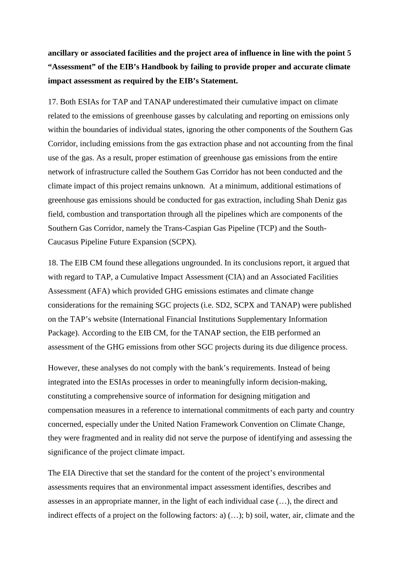**ancillary or associated facilities and the project area of influence in line with the point 5 "Assessment" of the EIB's Handbook by failing to provide proper and accurate climate impact assessment as required by the EIB's Statement.** 

17. Both ESIAs for TAP and TANAP underestimated their cumulative impact on climate related to the emissions of greenhouse gasses by calculating and reporting on emissions only within the boundaries of individual states, ignoring the other components of the Southern Gas Corridor, including emissions from the gas extraction phase and not accounting from the final use of the gas. As a result, proper estimation of greenhouse gas emissions from the entire network of infrastructure called the Southern Gas Corridor has not been conducted and the climate impact of this project remains unknown. At a minimum, additional estimations of greenhouse gas emissions should be conducted for gas extraction, including Shah Deniz gas field, combustion and transportation through all the pipelines which are components of the Southern Gas Corridor, namely the Trans-Caspian Gas Pipeline (TCP) and the South-Caucasus Pipeline Future Expansion (SCPX).

18. The EIB CM found these allegations ungrounded. In its conclusions report, it argued that with regard to TAP, a Cumulative Impact Assessment (CIA) and an Associated Facilities Assessment (AFA) which provided GHG emissions estimates and climate change considerations for the remaining SGC projects (i.e. SD2, SCPX and TANAP) were published on the TAP's website (International Financial Institutions Supplementary Information Package). According to the EIB CM, for the TANAP section, the EIB performed an assessment of the GHG emissions from other SGC projects during its due diligence process.

However, these analyses do not comply with the bank's requirements. Instead of being integrated into the ESIAs processes in order to meaningfully inform decision-making, constituting a comprehensive source of information for designing mitigation and compensation measures in a reference to international commitments of each party and country concerned, especially under the United Nation Framework Convention on Climate Change, they were fragmented and in reality did not serve the purpose of identifying and assessing the significance of the project climate impact.

The EIA Directive that set the standard for the content of the project's environmental assessments requires that an environmental impact assessment identifies, describes and assesses in an appropriate manner, in the light of each individual case (…), the direct and indirect effects of a project on the following factors: a) (…); b) soil, water, air, climate and the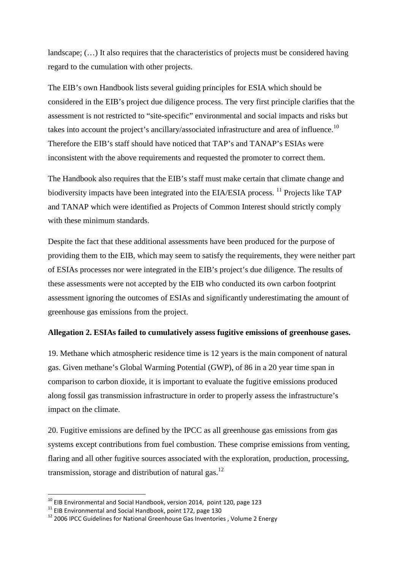landscape; (…) It also requires that the characteristics of projects must be considered having regard to the cumulation with other projects.

The EIB's own Handbook lists several guiding principles for ESIA which should be considered in the EIB's project due diligence process. The very first principle clarifies that the assessment is not restricted to "site-specific" environmental and social impacts and risks but takes into account the project's ancillary/associated infrastructure and area of influence.<sup>10</sup> Therefore the EIB's staff should have noticed that TAP's and TANAP's ESIAs were inconsistent with the above requirements and requested the promoter to correct them.

The Handbook also requires that the EIB's staff must make certain that climate change and biodiversity impacts have been integrated into the EIA/ESIA process. <sup>11</sup> Projects like TAP and TANAP which were identified as Projects of Common Interest should strictly comply with these minimum standards.

Despite the fact that these additional assessments have been produced for the purpose of providing them to the EIB, which may seem to satisfy the requirements, they were neither part of ESIAs processes nor were integrated in the EIB's project's due diligence. The results of these assessments were not accepted by the EIB who conducted its own carbon footprint assessment ignoring the outcomes of ESIAs and significantly underestimating the amount of greenhouse gas emissions from the project.

### **Allegation 2. ESIAs failed to cumulatively assess fugitive emissions of greenhouse gases.**

19. Methane which atmospheric residence time is 12 years is the main component of natural gas. Given methane's Global Warming Potential (GWP), of 86 in a 20 year time span in comparison to carbon dioxide, it is important to evaluate the fugitive emissions produced along fossil gas transmission infrastructure in order to properly assess the infrastructure's impact on the climate.

20. Fugitive emissions are defined by the IPCC as all greenhouse gas emissions from gas systems except contributions from fuel combustion. These comprise emissions from venting, flaring and all other fugitive sources associated with the exploration, production, processing, transmission, storage and distribution of natural gas.<sup>12</sup>

 $10$  EIB Environmental and Social Handbook, version 2014, point 120, page 123

<sup>&</sup>lt;sup>11</sup> EIB Environmental and Social Handbook, point 172, page 130

 $12$  2006 IPCC Guidelines for National Greenhouse Gas Inventories, Volume 2 Energy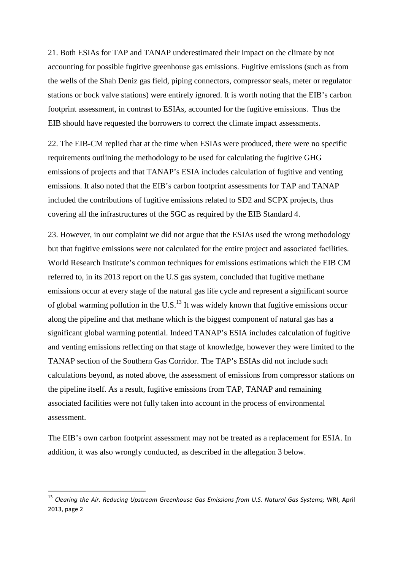21. Both ESIAs for TAP and TANAP underestimated their impact on the climate by not accounting for possible fugitive greenhouse gas emissions. Fugitive emissions (such as from the wells of the Shah Deniz gas field, piping connectors, compressor seals, meter or regulator stations or bock valve stations) were entirely ignored. It is worth noting that the EIB's carbon footprint assessment, in contrast to ESIAs, accounted for the fugitive emissions. Thus the EIB should have requested the borrowers to correct the climate impact assessments.

22. The EIB-CM replied that at the time when ESIAs were produced, there were no specific requirements outlining the methodology to be used for calculating the fugitive GHG emissions of projects and that TANAP's ESIA includes calculation of fugitive and venting emissions. It also noted that the EIB's carbon footprint assessments for TAP and TANAP included the contributions of fugitive emissions related to SD2 and SCPX projects, thus covering all the infrastructures of the SGC as required by the EIB Standard 4.

23. However, in our complaint we did not argue that the ESIAs used the wrong methodology but that fugitive emissions were not calculated for the entire project and associated facilities. World Research Institute's common techniques for emissions estimations which the EIB CM referred to, in its 2013 report on the U.S gas system, concluded that fugitive methane emissions occur at every stage of the natural gas life cycle and represent a significant source of global warming pollution in the U.S.<sup>13</sup> It was widely known that fugitive emissions occur along the pipeline and that methane which is the biggest component of natural gas has a significant global warming potential. Indeed TANAP's ESIA includes calculation of fugitive and venting emissions reflecting on that stage of knowledge, however they were limited to the TANAP section of the Southern Gas Corridor. The TAP's ESIAs did not include such calculations beyond, as noted above, the assessment of emissions from compressor stations on the pipeline itself. As a result, fugitive emissions from TAP, TANAP and remaining associated facilities were not fully taken into account in the process of environmental assessment.

The EIB's own carbon footprint assessment may not be treated as a replacement for ESIA. In addition, it was also wrongly conducted, as described in the allegation 3 below.

<sup>13</sup> *Clearing the Air. Reducing Upstream Greenhouse Gas Emissions from U.S. Natural Gas Systems;* WRI, April 2013, page 2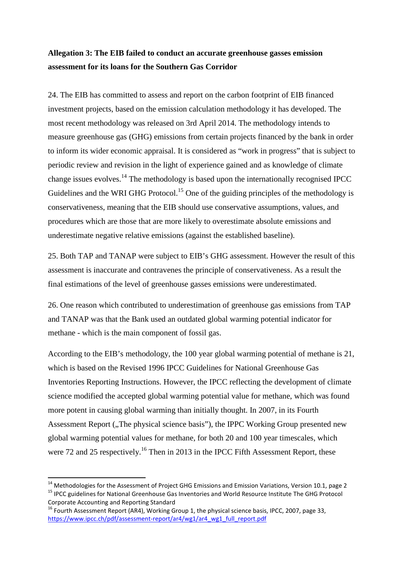# **Allegation 3: The EIB failed to conduct an accurate greenhouse gasses emission assessment for its loans for the Southern Gas Corridor**

24. The EIB has committed to assess and report on the carbon footprint of EIB financed investment projects, based on the emission calculation methodology it has developed. The most recent methodology was released on 3rd April 2014. The methodology intends to measure greenhouse gas (GHG) emissions from certain projects financed by the bank in order to inform its wider economic appraisal. It is considered as "work in progress" that is subject to periodic review and revision in the light of experience gained and as knowledge of climate change issues evolves.<sup>14</sup> The methodology is based upon the internationally recognised IPCC Guidelines and the WRI GHG Protocol.<sup>15</sup> One of the guiding principles of the methodology is conservativeness, meaning that the EIB should use conservative assumptions, values, and procedures which are those that are more likely to overestimate absolute emissions and underestimate negative relative emissions (against the established baseline).

25. Both TAP and TANAP were subject to EIB's GHG assessment. However the result of this assessment is inaccurate and contravenes the principle of conservativeness. As a result the final estimations of the level of greenhouse gasses emissions were underestimated.

26. One reason which contributed to underestimation of greenhouse gas emissions from TAP and TANAP was that the Bank used an outdated global warming potential indicator for methane - which is the main component of fossil gas.

According to the EIB's methodology, the 100 year global warming potential of methane is 21, which is based on the Revised 1996 IPCC Guidelines for National Greenhouse Gas Inventories Reporting Instructions. However, the IPCC reflecting the development of climate science modified the accepted global warming potential value for methane, which was found more potent in causing global warming than initially thought. In 2007, in its Fourth Assessment Report ("The physical science basis"), the IPPC Working Group presented new global warming potential values for methane, for both 20 and 100 year timescales, which were 72 and 25 respectively.<sup>16</sup> Then in 2013 in the IPCC Fifth Assessment Report, these

<sup>&</sup>lt;sup>14</sup> Methodologies for the Assessment of Project GHG Emissions and Emission Variations, Version 10.1, page 2 <sup>15</sup> IPCC guidelines for National Greenhouse Gas Inventories and World Resource Institute The GHG Protocol Corporate Accounting and Reporting Standard

<sup>&</sup>lt;sup>16</sup> Fourth Assessment Report (AR4), Working Group 1, the physical science basis, IPCC, 2007, page 33, https://www.ipcc.ch/pdf/assessment-report/ar4/wg1/ar4\_wg1\_full\_report.pdf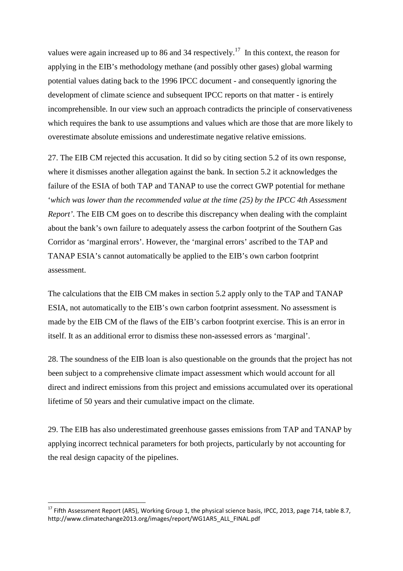values were again increased up to 86 and 34 respectively.<sup>17</sup> In this context, the reason for applying in the EIB's methodology methane (and possibly other gases) global warming potential values dating back to the 1996 IPCC document - and consequently ignoring the development of climate science and subsequent IPCC reports on that matter - is entirely incomprehensible. In our view such an approach contradicts the principle of conservativeness which requires the bank to use assumptions and values which are those that are more likely to overestimate absolute emissions and underestimate negative relative emissions.

27. The EIB CM rejected this accusation. It did so by citing section 5.2 of its own response, where it dismisses another allegation against the bank. In section 5.2 it acknowledges the failure of the ESIA of both TAP and TANAP to use the correct GWP potential for methane '*which was lower than the recommended value at the time (25) by the IPCC 4th Assessment Report'*. The EIB CM goes on to describe this discrepancy when dealing with the complaint about the bank's own failure to adequately assess the carbon footprint of the Southern Gas Corridor as 'marginal errors'. However, the 'marginal errors' ascribed to the TAP and TANAP ESIA's cannot automatically be applied to the EIB's own carbon footprint assessment.

The calculations that the EIB CM makes in section 5.2 apply only to the TAP and TANAP ESIA, not automatically to the EIB's own carbon footprint assessment. No assessment is made by the EIB CM of the flaws of the EIB's carbon footprint exercise. This is an error in itself. It as an additional error to dismiss these non-assessed errors as 'marginal'.

28. The soundness of the EIB loan is also questionable on the grounds that the project has not been subject to a comprehensive climate impact assessment which would account for all direct and indirect emissions from this project and emissions accumulated over its operational lifetime of 50 years and their cumulative impact on the climate.

29. The EIB has also underestimated greenhouse gasses emissions from TAP and TANAP by applying incorrect technical parameters for both projects, particularly by not accounting for the real design capacity of the pipelines.

 $\overline{\phantom{a}}$ 

<sup>&</sup>lt;sup>17</sup> Fifth Assessment Report (AR5), Working Group 1, the physical science basis, IPCC, 2013, page 714, table 8.7, http://www.climatechange2013.org/images/report/WG1AR5\_ALL\_FINAL.pdf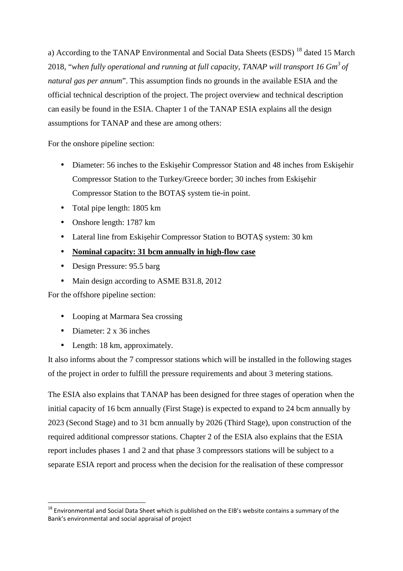a) According to the TANAP Environmental and Social Data Sheets (ESDS)<sup>18</sup> dated 15 March 2018, "*when fully operational and running at full capacity, TANAP will transport 16 Gm<sup>3</sup>of natural gas per annum*". This assumption finds no grounds in the available ESIA and the official technical description of the project. The project overview and technical description can easily be found in the ESIA. Chapter 1 of the TANAP ESIA explains all the design assumptions for TANAP and these are among others:

For the onshore pipeline section:

- Diameter: 56 inches to the Eskisehir Compressor Station and 48 inches from Eskisehir Compressor Station to the Turkey/Greece border; 30 inches from Eskişehir Compressor Station to the BOTAŞ system tie-in point.
- Total pipe length: 1805 km
- Onshore length: 1787 km
- Lateral line from Eskişehir Compressor Station to BOTAŞ system: 30 km
- **Nominal capacity: 31 bcm annually in high-flow case**
- Design Pressure: 95.5 barg
- Main design according to ASME B31.8, 2012

For the offshore pipeline section:

- Looping at Marmara Sea crossing
- Diameter: 2 x 36 inches

 $\overline{\phantom{a}}$ 

• Length: 18 km, approximately.

It also informs about the 7 compressor stations which will be installed in the following stages of the project in order to fulfill the pressure requirements and about 3 metering stations.

The ESIA also explains that TANAP has been designed for three stages of operation when the initial capacity of 16 bcm annually (First Stage) is expected to expand to 24 bcm annually by 2023 (Second Stage) and to 31 bcm annually by 2026 (Third Stage), upon construction of the required additional compressor stations. Chapter 2 of the ESIA also explains that the ESIA report includes phases 1 and 2 and that phase 3 compressors stations will be subject to a separate ESIA report and process when the decision for the realisation of these compressor

<sup>&</sup>lt;sup>18</sup> Environmental and Social Data Sheet which is published on the EIB's website contains a summary of the Bank's environmental and social appraisal of project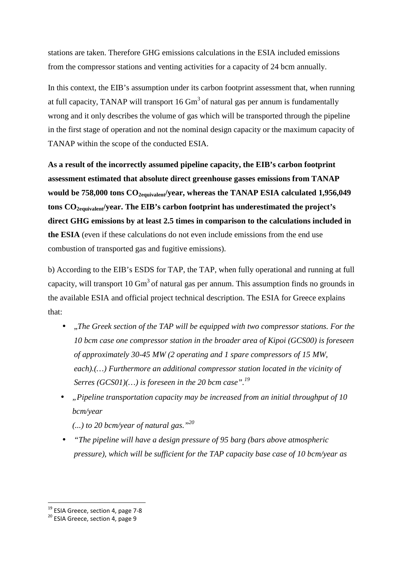stations are taken. Therefore GHG emissions calculations in the ESIA included emissions from the compressor stations and venting activities for a capacity of 24 bcm annually.

In this context, the EIB's assumption under its carbon footprint assessment that, when running at full capacity, TANAP will transport  $16 \text{ Gm}^3$  of natural gas per annum is fundamentally wrong and it only describes the volume of gas which will be transported through the pipeline in the first stage of operation and not the nominal design capacity or the maximum capacity of TANAP within the scope of the conducted ESIA.

**As a result of the incorrectly assumed pipeline capacity, the EIB's carbon footprint assessment estimated that absolute direct greenhouse gasses emissions from TANAP would be 758,000 tons CO2equivalent/year, whereas the TANAP ESIA calculated 1,956,049 tons CO2equivalent/year. The EIB's carbon footprint has underestimated the project's direct GHG emissions by at least 2.5 times in comparison to the calculations included in the ESIA** (even if these calculations do not even include emissions from the end use combustion of transported gas and fugitive emissions).

b) According to the EIB's ESDS for TAP, the TAP, when fully operational and running at full capacity, will transport 10  $\text{Gm}^3$  of natural gas per annum. This assumption finds no grounds in the available ESIA and official project technical description. The ESIA for Greece explains that:

- "The Greek section of the TAP will be equipped with two compressor stations. For the *10 bcm case one compressor station in the broader area of Kipoi (GCS00) is foreseen of approximately 30-45 MW (2 operating and 1 spare compressors of 15 MW, each).(…) Furthermore an additional compressor station located in the vicinity of Serres (GCS01)*(...) is foreseen in the 20 bcm case".<sup>19</sup>
- *"Pipeline transportation capacity may be increased from an initial throughput of 10 bcm/year*

*(...) to 20 bcm/year of natural gas."<sup>20</sup>*

• *"The pipeline will have a design pressure of 95 barg (bars above atmospheric pressure), which will be sufficient for the TAP capacity base case of 10 bcm/year as* 

 $\overline{\phantom{a}}$ 

<sup>&</sup>lt;sup>19</sup> ESIA Greece, section 4, page 7-8

<sup>&</sup>lt;sup>20</sup> ESIA Greece, section 4, page 9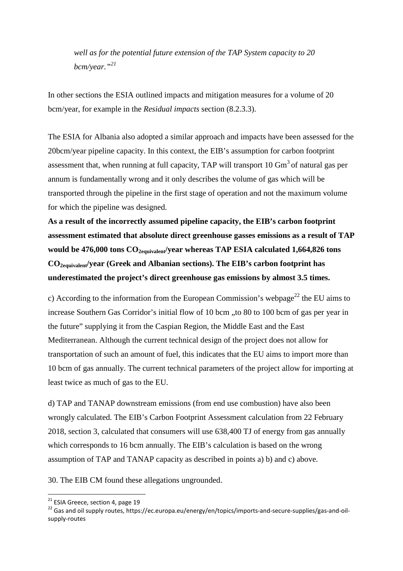*well as for the potential future extension of the TAP System capacity to 20 bcm/year."<sup>21</sup>*

In other sections the ESIA outlined impacts and mitigation measures for a volume of 20 bcm/year, for example in the *Residual impacts* section (8.2.3.3).

The ESIA for Albania also adopted a similar approach and impacts have been assessed for the 20bcm/year pipeline capacity. In this context, the EIB's assumption for carbon footprint assessment that, when running at full capacity, TAP will transport  $10 \text{ Gm}^3$  of natural gas per annum is fundamentally wrong and it only describes the volume of gas which will be transported through the pipeline in the first stage of operation and not the maximum volume for which the pipeline was designed.

**As a result of the incorrectly assumed pipeline capacity, the EIB's carbon footprint assessment estimated that absolute direct greenhouse gasses emissions as a result of TAP would be 476,000 tons CO2equivalent/year whereas TAP ESIA calculated 1,664,826 tons CO2equivalent/year (Greek and Albanian sections). The EIB's carbon footprint has underestimated the project's direct greenhouse gas emissions by almost 3.5 times.** 

c) According to the information from the European Commission's webpage<sup>22</sup> the EU aims to increase Southern Gas Corridor's initial flow of 10 bcm ., to 80 to 100 bcm of gas per year in the future" supplying it from the Caspian Region, the Middle East and the East Mediterranean. Although the current technical design of the project does not allow for transportation of such an amount of fuel, this indicates that the EU aims to import more than 10 bcm of gas annually. The current technical parameters of the project allow for importing at least twice as much of gas to the EU.

d) TAP and TANAP downstream emissions (from end use combustion) have also been wrongly calculated. The EIB's Carbon Footprint Assessment calculation from 22 February 2018, section 3, calculated that consumers will use 638,400 TJ of energy from gas annually which corresponds to 16 bcm annually. The EIB's calculation is based on the wrong assumption of TAP and TANAP capacity as described in points a) b) and c) above.

30. The EIB CM found these allegations ungrounded.

<sup>&</sup>lt;sup>21</sup> ESIA Greece, section 4, page 19

<sup>22</sup> Gas and oil supply routes, https://ec.europa.eu/energy/en/topics/imports-and-secure-supplies/gas-and-oilsupply-routes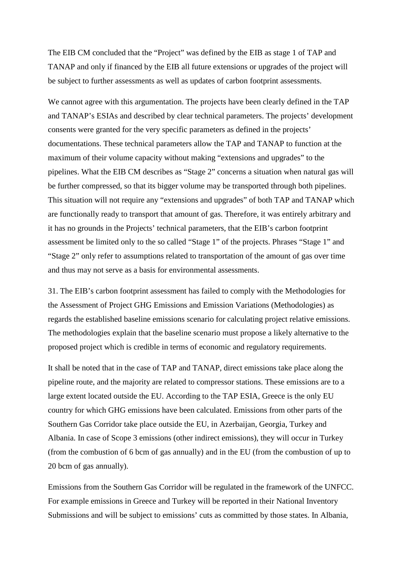The EIB CM concluded that the "Project" was defined by the EIB as stage 1 of TAP and TANAP and only if financed by the EIB all future extensions or upgrades of the project will be subject to further assessments as well as updates of carbon footprint assessments.

We cannot agree with this argumentation. The projects have been clearly defined in the TAP and TANAP's ESIAs and described by clear technical parameters. The projects' development consents were granted for the very specific parameters as defined in the projects' documentations. These technical parameters allow the TAP and TANAP to function at the maximum of their volume capacity without making "extensions and upgrades" to the pipelines. What the EIB CM describes as "Stage 2" concerns a situation when natural gas will be further compressed, so that its bigger volume may be transported through both pipelines. This situation will not require any "extensions and upgrades" of both TAP and TANAP which are functionally ready to transport that amount of gas. Therefore, it was entirely arbitrary and it has no grounds in the Projects' technical parameters, that the EIB's carbon footprint assessment be limited only to the so called "Stage 1" of the projects. Phrases "Stage 1" and "Stage 2" only refer to assumptions related to transportation of the amount of gas over time and thus may not serve as a basis for environmental assessments.

31. The EIB's carbon footprint assessment has failed to comply with the Methodologies for the Assessment of Project GHG Emissions and Emission Variations (Methodologies) as regards the established baseline emissions scenario for calculating project relative emissions. The methodologies explain that the baseline scenario must propose a likely alternative to the proposed project which is credible in terms of economic and regulatory requirements.

It shall be noted that in the case of TAP and TANAP, direct emissions take place along the pipeline route, and the majority are related to compressor stations. These emissions are to a large extent located outside the EU. According to the TAP ESIA, Greece is the only EU country for which GHG emissions have been calculated. Emissions from other parts of the Southern Gas Corridor take place outside the EU, in Azerbaijan, Georgia, Turkey and Albania. In case of Scope 3 emissions (other indirect emissions), they will occur in Turkey (from the combustion of 6 bcm of gas annually) and in the EU (from the combustion of up to 20 bcm of gas annually).

Emissions from the Southern Gas Corridor will be regulated in the framework of the UNFCC. For example emissions in Greece and Turkey will be reported in their National Inventory Submissions and will be subject to emissions' cuts as committed by those states. In Albania,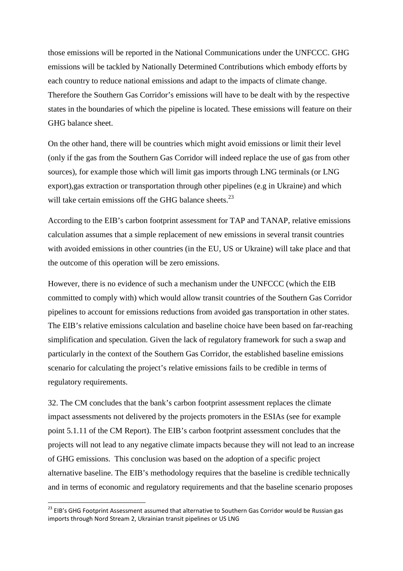those emissions will be reported in the National Communications under the UNFCCC. GHG emissions will be tackled by Nationally Determined Contributions which embody efforts by each country to reduce national emissions and adapt to the impacts of climate change. Therefore the Southern Gas Corridor's emissions will have to be dealt with by the respective states in the boundaries of which the pipeline is located. These emissions will feature on their GHG balance sheet.

On the other hand, there will be countries which might avoid emissions or limit their level (only if the gas from the Southern Gas Corridor will indeed replace the use of gas from other sources), for example those which will limit gas imports through LNG terminals (or LNG export),gas extraction or transportation through other pipelines (e.g in Ukraine) and which will take certain emissions off the GHG balance sheets. $^{23}$ 

According to the EIB's carbon footprint assessment for TAP and TANAP, relative emissions calculation assumes that a simple replacement of new emissions in several transit countries with avoided emissions in other countries (in the EU, US or Ukraine) will take place and that the outcome of this operation will be zero emissions.

However, there is no evidence of such a mechanism under the UNFCCC (which the EIB committed to comply with) which would allow transit countries of the Southern Gas Corridor pipelines to account for emissions reductions from avoided gas transportation in other states. The EIB's relative emissions calculation and baseline choice have been based on far-reaching simplification and speculation. Given the lack of regulatory framework for such a swap and particularly in the context of the Southern Gas Corridor, the established baseline emissions scenario for calculating the project's relative emissions fails to be credible in terms of regulatory requirements.

32. The CM concludes that the bank's carbon footprint assessment replaces the climate impact assessments not delivered by the projects promoters in the ESIAs (see for example point 5.1.11 of the CM Report). The EIB's carbon footprint assessment concludes that the projects will not lead to any negative climate impacts because they will not lead to an increase of GHG emissions. This conclusion was based on the adoption of a specific project alternative baseline. The EIB's methodology requires that the baseline is credible technically and in terms of economic and regulatory requirements and that the baseline scenario proposes

 $\overline{\phantom{a}}$ 

<sup>&</sup>lt;sup>23</sup> EIB's GHG Footprint Assessment assumed that alternative to Southern Gas Corridor would be Russian gas imports through Nord Stream 2, Ukrainian transit pipelines or US LNG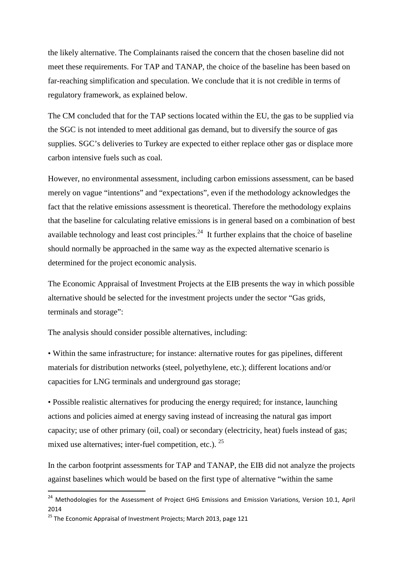the likely alternative. The Complainants raised the concern that the chosen baseline did not meet these requirements. For TAP and TANAP, the choice of the baseline has been based on far-reaching simplification and speculation. We conclude that it is not credible in terms of regulatory framework, as explained below.

The CM concluded that for the TAP sections located within the EU, the gas to be supplied via the SGC is not intended to meet additional gas demand, but to diversify the source of gas supplies. SGC's deliveries to Turkey are expected to either replace other gas or displace more carbon intensive fuels such as coal.

However, no environmental assessment, including carbon emissions assessment, can be based merely on vague "intentions" and "expectations", even if the methodology acknowledges the fact that the relative emissions assessment is theoretical. Therefore the methodology explains that the baseline for calculating relative emissions is in general based on a combination of best available technology and least cost principles.<sup>24</sup> It further explains that the choice of baseline should normally be approached in the same way as the expected alternative scenario is determined for the project economic analysis.

The Economic Appraisal of Investment Projects at the EIB presents the way in which possible alternative should be selected for the investment projects under the sector "Gas grids, terminals and storage":

The analysis should consider possible alternatives, including:

• Within the same infrastructure; for instance: alternative routes for gas pipelines, different materials for distribution networks (steel, polyethylene, etc.); different locations and/or capacities for LNG terminals and underground gas storage;

• Possible realistic alternatives for producing the energy required; for instance, launching actions and policies aimed at energy saving instead of increasing the natural gas import capacity; use of other primary (oil, coal) or secondary (electricity, heat) fuels instead of gas; mixed use alternatives; inter-fuel competition, etc.).  $25$ 

In the carbon footprint assessments for TAP and TANAP, the EIB did not analyze the projects against baselines which would be based on the first type of alternative "within the same

<sup>&</sup>lt;sup>24</sup> Methodologies for the Assessment of Project GHG Emissions and Emission Variations, Version 10.1, April 2014

 $25$  The Economic Appraisal of Investment Projects; March 2013, page 121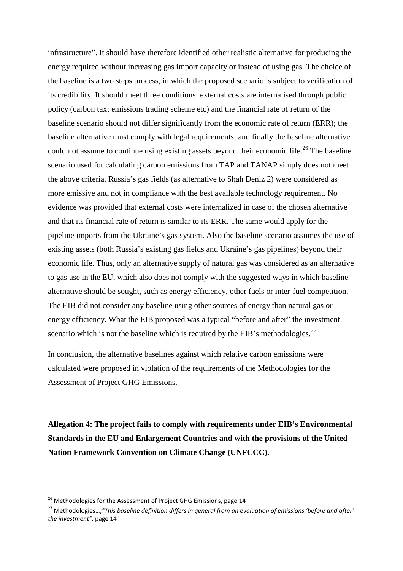infrastructure". It should have therefore identified other realistic alternative for producing the energy required without increasing gas import capacity or instead of using gas. The choice of the baseline is a two steps process, in which the proposed scenario is subject to verification of its credibility. It should meet three conditions: external costs are internalised through public policy (carbon tax; emissions trading scheme etc) and the financial rate of return of the baseline scenario should not differ significantly from the economic rate of return (ERR); the baseline alternative must comply with legal requirements; and finally the baseline alternative could not assume to continue using existing assets beyond their economic life.<sup>26</sup> The baseline scenario used for calculating carbon emissions from TAP and TANAP simply does not meet the above criteria. Russia's gas fields (as alternative to Shah Deniz 2) were considered as more emissive and not in compliance with the best available technology requirement. No evidence was provided that external costs were internalized in case of the chosen alternative and that its financial rate of return is similar to its ERR. The same would apply for the pipeline imports from the Ukraine's gas system. Also the baseline scenario assumes the use of existing assets (both Russia's existing gas fields and Ukraine's gas pipelines) beyond their economic life. Thus, only an alternative supply of natural gas was considered as an alternative to gas use in the EU, which also does not comply with the suggested ways in which baseline alternative should be sought, such as energy efficiency, other fuels or inter-fuel competition. The EIB did not consider any baseline using other sources of energy than natural gas or energy efficiency. What the EIB proposed was a typical "before and after" the investment scenario which is not the baseline which is required by the EIB's methodologies.<sup>27</sup>

In conclusion, the alternative baselines against which relative carbon emissions were calculated were proposed in violation of the requirements of the Methodologies for the Assessment of Project GHG Emissions.

**Allegation 4: The project fails to comply with requirements under EIB's Environmental Standards in the EU and Enlargement Countries and with the provisions of the United Nation Framework Convention on Climate Change (UNFCCC).** 

<sup>&</sup>lt;sup>26</sup> Methodologies for the Assessment of Project GHG Emissions, page 14

<sup>27</sup> Methodologies…,*"This baseline definition differs in general from an evaluation of emissions 'before and after' the investment",* page 14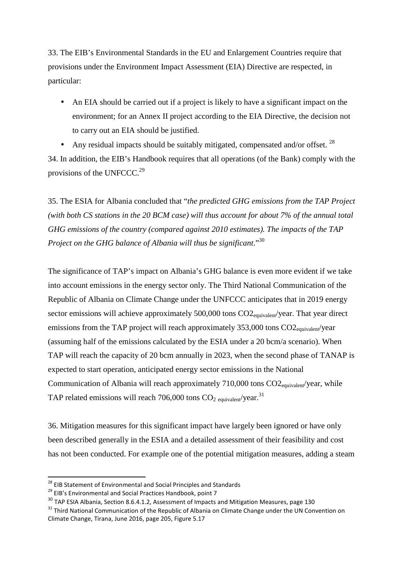33. The EIB's Environmental Standards in the EU and Enlargement Countries require that provisions under the Environment Impact Assessment (EIA) Directive are respected, in particular:

• An EIA should be carried out if a project is likely to have a significant impact on the environment; for an Annex II project according to the EIA Directive, the decision not to carry out an EIA should be justified.

• Any residual impacts should be suitably mitigated, compensated and/or offset.  $^{28}$ 34. In addition, the EIB's Handbook requires that all operations (of the Bank) comply with the provisions of the UNFCCC. $^{29}$ 

35. The ESIA for Albania concluded that "*the predicted GHG emissions from the TAP Project (with both CS stations in the 20 BCM case) will thus account for about 7% of the annual total GHG emissions of the country (compared against 2010 estimates). The impacts of the TAP Project on the GHG balance of Albania will thus be significant*."<sup>30</sup>

The significance of TAP's impact on Albania's GHG balance is even more evident if we take into account emissions in the energy sector only. The Third National Communication of the Republic of Albania on Climate Change under the UNFCCC anticipates that in 2019 energy sector emissions will achieve approximately 500,000 tons CO2<sub>equivalent</sub>/year. That year direct emissions from the TAP project will reach approximately  $353,000$  tons  $CO2_{\text{couivalent}}/\text{year}$ (assuming half of the emissions calculated by the ESIA under a 20 bcm/a scenario). When TAP will reach the capacity of 20 bcm annually in 2023, when the second phase of TANAP is expected to start operation, anticipated energy sector emissions in the National Communication of Albania will reach approximately 710,000 tons CO2<sub>equivalent</sub>/year, while TAP related emissions will reach 706,000 tons  $CO<sub>2</sub>$  <sub>equivalent</sub>/year.<sup>31</sup>

36. Mitigation measures for this significant impact have largely been ignored or have only been described generally in the ESIA and a detailed assessment of their feasibility and cost has not been conducted. For example one of the potential mitigation measures, adding a steam

 $\overline{a}$ 

<sup>&</sup>lt;sup>28</sup> EIB Statement of Environmental and Social Principles and Standards

<sup>&</sup>lt;sup>29</sup> EIB's Environmental and Social Practices Handbook, point 7

<sup>&</sup>lt;sup>30</sup> TAP ESIA Albania, Section 8.6.4.1.2, Assessment of Impacts and Mitigation Measures, page 130

<sup>&</sup>lt;sup>31</sup> Third National Communication of the Republic of Albania on Climate Change under the UN Convention on Climate Change, Tirana, June 2016, page 205, Figure 5.17